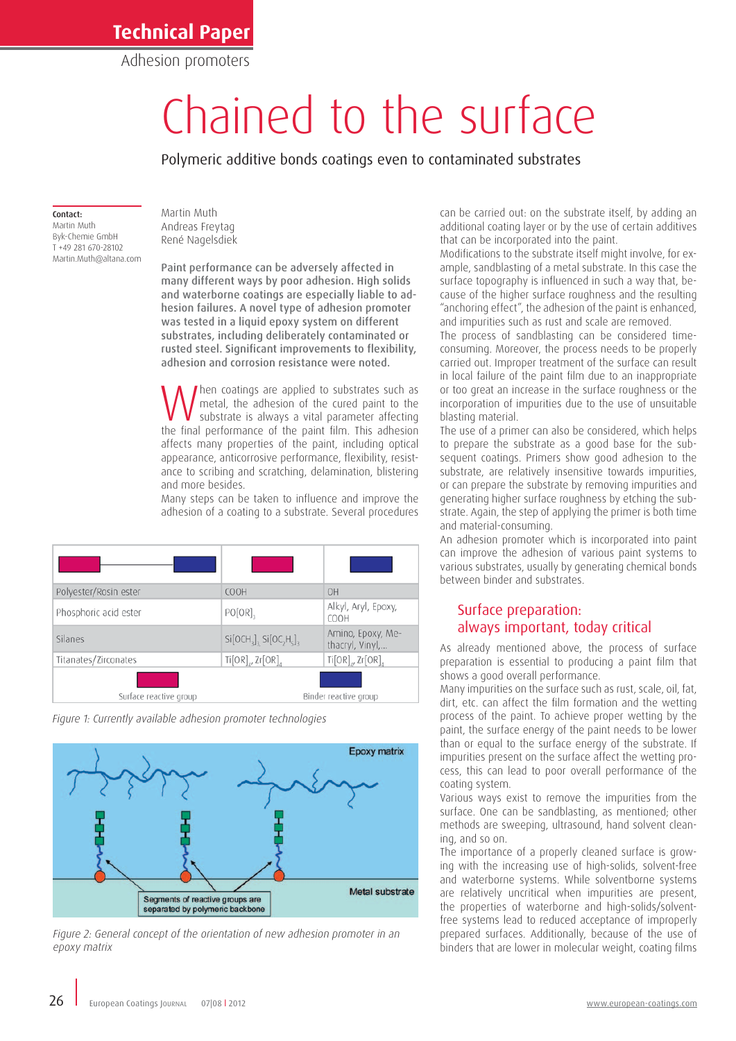Adhesion promoters

# Chained to the surface

Polymeric additive bonds coatings even to contaminated substrates

#### Contact:

Martin Muth Byk-Chemie GmbH T +49 281 670-28102 Martin.Muth@altana.com

Martin Muth Andreas Freytag René Nagelsdiek

Paint performance can be adversely affected in many different ways by poor adhesion. High solids and waterborne coatings are especially liable to adhesion failures. A novel type of adhesion promoter was tested in a liquid epoxy system on different substrates, including deliberately contaminated or rusted steel. Significant improvements to flexibility, adhesion and corrosion resistance were noted.

**W** hen coatings are applied to substrates such as such as substrate, the adhesion of the cured paint to the substrate is always a vital parameter affecting the final performance of the paint film. This adhesion metal, the adhesion of the cured paint to the the final performance of the paint film. This adhesion affects many properties of the paint, including optical appearance, anticorrosive performance, flexibility, resistance to scribing and scratching, delamination, blistering and more besides.

Many steps can be taken to influence and improve the adhesion of a coating to a substrate. Several procedures

| Polyester/Rosin ester  | <b>COOH</b>                   | OH                                   |
|------------------------|-------------------------------|--------------------------------------|
| Phosphoric acid ester  | $PO[OR]_{2}$                  | Alkyl, Aryl, Epoxy,<br><b>COOH</b>   |
| Silanes                | $Si[OCH_3]_3$ $Si[OC_2H_5]_3$ | Amino, Epoxy, Me-<br>thacryl, Vinyl, |
| Titanates/Zirconates   | $Ti[OR]_4$ , Zr $[OR]_4$      | $Ti[OR]_M$ , $Zr[OR]_A$              |
|                        |                               |                                      |
| Surface reactive group | Binder reactive group         |                                      |

*Figure 1: Currently available adhesion promoter technologies*



*Figure 2: General concept of the orientation of new adhesion promoter in an epoxy matrix*

can be carried out: on the substrate itself, by adding an additional coating layer or by the use of certain additives that can be incorporated into the paint.

Modifications to the substrate itself might involve, for example, sandblasting of a metal substrate. In this case the surface topography is influenced in such a way that, because of the higher surface roughness and the resulting "anchoring effect", the adhesion of the paint is enhanced, and impurities such as rust and scale are removed.

The process of sandblasting can be considered timeconsuming. Moreover, the process needs to be properly carried out. Improper treatment of the surface can result in local failure of the paint film due to an inappropriate or too great an increase in the surface roughness or the incorporation of impurities due to the use of unsuitable blasting material.

The use of a primer can also be considered, which helps to prepare the substrate as a good base for the subsequent coatings. Primers show good adhesion to the substrate, are relatively insensitive towards impurities, or can prepare the substrate by removing impurities and generating higher surface roughness by etching the substrate. Again, the step of applying the primer is both time and material-consuming.

An adhesion promoter which is incorporated into paint can improve the adhesion of various paint systems to various substrates, usually by generating chemical bonds between binder and substrates.

## Surface preparation: always important, today critical

As already mentioned above, the process of surface preparation is essential to producing a paint film that shows a good overall performance.

Many impurities on the surface such as rust, scale, oil, fat, dirt, etc. can affect the film formation and the wetting process of the paint. To achieve proper wetting by the paint, the surface energy of the paint needs to be lower than or equal to the surface energy of the substrate. If impurities present on the surface affect the wetting process, this can lead to poor overall performance of the coating system.

Various ways exist to remove the impurities from the surface. One can be sandblasting, as mentioned; other methods are sweeping, ultrasound, hand solvent cleaning, and so on.

The importance of a properly cleaned surface is growing with the increasing use of high-solids, solvent-free and waterborne systems. While solventborne systems are relatively uncritical when impurities are present, the properties of waterborne and high-solids/solventfree systems lead to reduced acceptance of improperly prepared surfaces. Additionally, because of the use of binders that are lower in molecular weight, coating films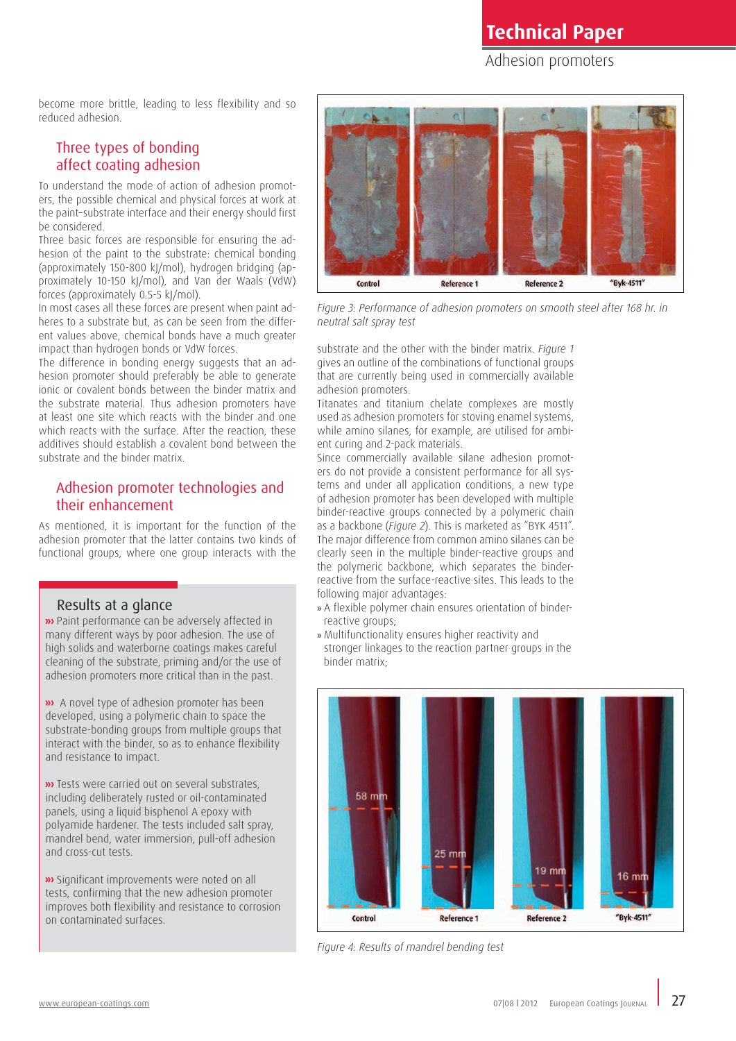Adhesion promoters

become more brittle, leading to less flexibility and so reduced adhesion.

## Three types of bonding affect coating adhesion

To understand the mode of action of adhesion promoters, the possible chemical and physical forces at work at the paint–substrate interface and their energy should first be considered.

Three basic forces are responsible for ensuring the adhesion of the paint to the substrate: chemical bonding (approximately 150-800 kJ/mol), hydrogen bridging (approximately 10-150 kJ/mol), and Van der Waals (VdW) forces (approximately 0.5-5 kJ/mol).

In most cases all these forces are present when paint adheres to a substrate but, as can be seen from the different values above, chemical bonds have a much greater impact than hydrogen bonds or VdW forces.

The difference in bonding energy suggests that an adhesion promoter should preferably be able to generate ionic or covalent bonds between the binder matrix and the substrate material. Thus adhesion promoters have at least one site which reacts with the binder and one which reacts with the surface. After the reaction, these additives should establish a covalent bond between the substrate and the binder matrix.

## Adhesion promoter technologies and their enhancement

As mentioned, it is important for the function of the adhesion promoter that the latter contains two kinds of functional groups, where one group interacts with the

#### Results at a glance

**»** Paint performance can be adversely affected in many different ways by poor adhesion. The use of high solids and waterborne coatings makes careful cleaning of the substrate, priming and/or the use of adhesion promoters more critical than in the past.

**»** A novel type of adhesion promoter has been developed, using a polymeric chain to space the substrate-bonding groups from multiple groups that interact with the binder, so as to enhance flexibility and resistance to impact.

**»** Tests were carried out on several substrates, including deliberately rusted or oil-contaminated panels, using a liquid bisphenol A epoxy with polyamide hardener. The tests included salt spray, mandrel bend, water immersion, pull-off adhesion and cross-cut tests.

**»** Significant improvements were noted on all tests, confirming that the new adhesion promoter improves both flexibility and resistance to corrosion on contaminated surfaces.



Figure 3: Performance of adhesion promoters on smooth steel after 168 hr. in *neutral salt spray test*

substrate and the other with the binder matrix. *Figure 1*  gives an outline of the combinations of functional groups that are currently being used in commercially available adhesion promoters.

Titanates and titanium chelate complexes are mostly used as adhesion promoters for stoving enamel systems, while amino silanes, for example, are utilised for ambient curing and 2-pack materials.

Since commercially available silane adhesion promoters do not provide a consistent performance for all systems and under all application conditions, a new type of adhesion promoter has been developed with multiple binder-reactive groups connected by a polymeric chain as a backbone (*Figure 2*). This is marketed as "BYK 4511". The major difference from common amino silanes can be clearly seen in the multiple binder-reactive groups and the polymeric backbone, which separates the binderreactive from the surface-reactive sites. This leads to the following major advantages:

- » A flexible polymer chain ensures orientation of binderreactive groups;
- » Multifunctionality ensures higher reactivity and stronger linkages to the reaction partner groups in the binder matrix;



*Figure 4: Results of mandrel bending test*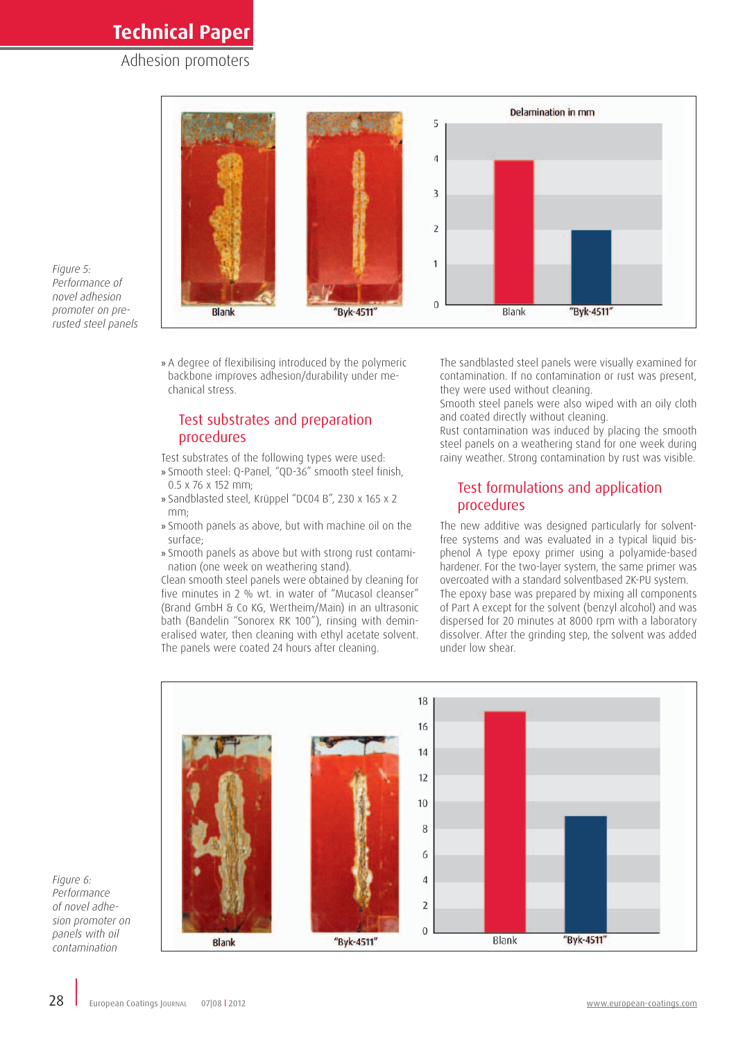## Adhesion promoters



*Figure 5: Performance of novel adhesion promoter on prerusted steel panels*

> » A degree of flexibilising introduced by the polymeric backbone improves adhesion/durability under mechanical stress.

## Test substrates and preparation procedures

Test substrates of the following types were used:

- » Smooth steel: Q-Panel, "QD-36" smooth steel finish, 0.5 x 76 x 152 mm;
- » Sandblasted steel, Krüppel "DC04 B", 230 x 165 x 2 mm;
- » Smooth panels as above, but with machine oil on the surface;
- » Smooth panels as above but with strong rust contamination (one week on weathering stand).

Clean smooth steel panels were obtained by cleaning for five minutes in 2 % wt. in water of "Mucasol cleanser" (Brand GmbH & Co KG, Wertheim/Main) in an ultrasonic bath (Bandelin "Sonorex RK 100"), rinsing with demineralised water, then cleaning with ethyl acetate solvent. The panels were coated 24 hours after cleaning.

The sandblasted steel panels were visually examined for contamination. If no contamination or rust was present, they were used without cleaning.

Smooth steel panels were also wiped with an oily cloth and coated directly without cleaning.

Rust contamination was induced by placing the smooth steel panels on a weathering stand for one week during rainy weather. Strong contamination by rust was visible.

## Test formulations and application procedures

The new additive was designed particularly for solventfree systems and was evaluated in a typical liquid bisphenol A type epoxy primer using a polyamide-based hardener. For the two-layer system, the same primer was overcoated with a standard solventbased 2K-PU system. The epoxy base was prepared by mixing all components of Part A except for the solvent (benzyl alcohol) and was dispersed for 20 minutes at 8000 rpm with a laboratory dissolver. After the grinding step, the solvent was added under low shear.



*Figure 6: Performance of novel adhesion promoter on panels with oil contamination*